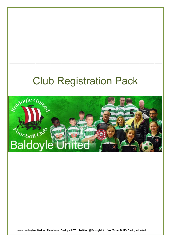# Club Registration Pack

\_\_\_\_\_\_\_\_\_\_\_\_\_\_\_\_\_\_\_\_\_\_\_\_\_\_\_\_\_\_\_\_\_\_\_\_\_\_\_\_\_



\_\_\_\_\_\_\_\_\_\_\_\_\_\_\_\_\_\_\_\_\_\_\_\_\_\_\_\_\_\_\_\_\_\_\_\_\_\_\_\_\_

**www.baldoyleunited.ie Facebook:** Baldoyle UTD **Twitter:** @BaldoyleUtd **YouTube:** BUTV Baldoyle United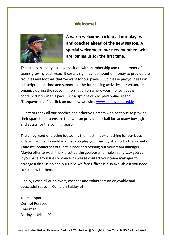## **Welcome!**



**A warm welcome back to all our players and coaches ahead of the new season. A special welcome to our new members who are joining us for the first time**.

The club is in a very positive position with membership and the number of teams growing each year. It costs a significant amount of money to provide the facilities and football that we want for our players. So please pay your season subscription on time and support all the fundraising activities our volunteers organize during the season. Information on where your money goes is contained later in this pack. Subscriptions can be paid online at the **'Easypayments Plus'** link on our new website: [www.baldoyleunited.ie](http://www.baldoyleunited.ie/)

I want to thank all our coaches and other volunteers who continue to provide their spare time to ensure that we can provide football for so many boys, girls and adults for the coming season.

The enjoyment of playing football is the most important thing for our boys, girls and adults. I would ask that you play your part by abiding by the **Parents Code of Conduct** set out in this pack and helping out your team manager. Maybe offer to wash the kit, set up the goalposts, or help in any way you can. If you have any issues or concerns please contact your team manager to arrange a discussion and our Child Welfare Officer is also available if you need to speak with them.

Finally, I wish all our players, coaches and volunteers an enjoyable and successful season. Come on Baldoyle!

Yours in sport Dermot Penrose Chairman Baldoyle United FC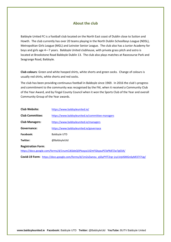## **About the club**

Baldoyle United FC is a football club located on the North East coast of Dublin close to Sutton and Howth. The club currently has over 20 teams playing in the North Dublin Schoolboys League (NDSL), Metropolitan Girls League (MGL) and Leinster Senior League. The club also has a Junior Academy for boys and girls age 4—7 years. Baldoyle United clubhouse, with private grass pitch and astro is located at Brookstone Road Baldoyle Dublin 13. The club also plays matches at Racecourse Park and Seagrange Road, Baldoyle.

**Club colours**: Green and white hooped shirts, white shorts and green socks. Change of colours is usually red shirts, white shorts and red socks.

The club has been providing continuous football in Baldoyle since 1969. In 2016 the club's progress and commitment to the community was recognised by the FAI, when it received a Community Club of the Year Award, and by Fingal County Council when it won the Sports Club of the Year and overall Community Group of the Year awards.

| <b>Club Website:</b>   | https://www.baldoyleunited.ie/                   |
|------------------------|--------------------------------------------------|
| <b>Club Committee:</b> | https://www.baldoyleunited.ie/committee-managers |
| <b>Club Managers:</b>  | https://www.baldoyleunited.ie/managers           |
| Governance:            | https://www.baldoyleunited.ie/governace          |
| Facebook:              | <b>Baldovle UTD</b>                              |
| Twitter:               | @BaldoyleUtd                                     |

#### **Registration Form**:

<https://docs.google.com/forms/d/1numCJ6SdeQ5Pkzqza1IiZmFGkypuPCfaPk87Zw7g03A/>

**Covid-19 Form**: [https://docs.google.com/forms/d/1m2xZwneu\\_qSSyPYlT2rgr](https://docs.google.com/forms/d/1m2xZwneu_qSSyPYlT2rgr-jcyLVqV6MGn6yMl37I7Ug/edit)-jcyLVqV6MGn6yMl37I7Ug/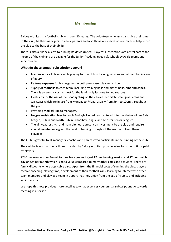## **Membership**

Baldoyle United is a football club with over 20 teams. The volunteers who assist and give their time to the club, be they managers, coaches, parents and also those who serve on committees help to run the club to the best of their ability.

There is also a financial cost to running Baldoyle United. Players' subscriptions are a vital part of the income of the club and are payable for the Junior Academy (weekly), schoolboys/girls teams and senior teams.

#### **What do these annual subscriptions cover?**

- **Insurance** for all players while playing for the club in training sessions and at matches in case of injury.
- **Referee expenses** for home games in both pre-season, league and cups.
- Supply of **footballs** to each team, including training balls and match balls, **bibs and cones**. There is an annual cost as most footballs will only last one to two seasons.
- **Electricity** for the use of the **floodlighting** on the all-weather pitch, small grass areas and walkways which are in use from Monday to Friday, usually from 5pm to 10pm throughout the year.
- Providing **medical kits** to managers.
- **League registration fees** for each Baldoyle United team entered into the Metropolitan Girls League, Dublin and North Dublin Schoolboy League and Leinster Senior Leagues.
- The all-weather pitch and main pitches represent an investment by the club and require annual **maintenance** given the level of training throughout the season to keep them playable.

The Club is grateful to all managers, coaches and parents who participate in the running of the club.

The club believes that the facilities provided by Baldoyle United provide value for subscriptions paid by players.

€240 per season from August to June fee equates to just **€2 per training session** and **€2 per match day** or €24 per month which is good value compared to many other clubs and activities. There are family discounts where applicable also. Apart from the financial costs of running the club, players receive coaching, playing time, development of their football skills, learning to interact with other team members and play as a team in a sport that they enjoy from the age of 4 up to and including senior football.

We hope this note provides more detail as to what expenses your annual subscriptions go towards meeting in a season.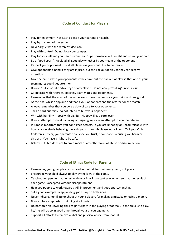## **Code of Conduct for Players**

- Play for enjoyment, not just to please your parents or coach.
- Play by the laws of the game.
- Never argue with the referee's decision.
- Play with control. Do not lose your temper.
- Play for yourself and your team—your team's performance will benefit and so will your own.
- Be a "good sport". Applaud all good play whether by your team or the opponent.
- Respect your opponent. Treat all players as you would like to be treated.
- Give opponents a hand if they are injured, put the ball out of play so they can receive attention.
- Give the ball back to you opponents if they have put the ball out of play so that one of your team mates could get attention.
- Do not "bully" or take advantage of any player. Do not accept "bulling" in your club.
- Co-operate with referees, coaches, team mates and opponents.
- Remember that the goals of the game are to have fun, improve your skills and feel good.
- At the final whistle applaud and thank your opponents and the referee for the match.
- Always remember that you owe a duty of care to your opponents.
- Tackle hard but fairly, do not intend to hurt your opponent.
- Win with humility—loose with dignity. Nobody likes a sore loser.
- Do not attempt to cheat by diving or feigning injury in an attempt to con the referee.
- It is most important that you don't keep secrets. If you are unhappy or uncomfortable with how anyone else is behaving towards you at the club please let us know. Tell your Club Children's Officer, your parents or anyone you trust, if someone is causing you harm or distress. You have a right to be safe.
- Baldoyle United does not tolerate racial or any other form of abuse or discrimination.

## **Code of Ethics Code for Parents**

- Remember, young people are involved in football for their enjoyment, not yours.
- Encourage your child always to play by the laws of the game.
- Teach young people that honest endeavor is as important as winning, so that the result of each game is accepted without disappointment.
- Help you people to work towards skill improvement and good sportsmanship.
- Set a good example by applauding good play on both sides.
- Never ridicule, humiliate or shout at young players for making a mistake or losing a match.
- Do not place emphasis on winning at all costs.
- Do not force an unwilling child to participate in the playing of football. If the child is to play, he/she will do so in good time through your encouragement.
- Support all efforts to remove verbal and physical abuse from football.